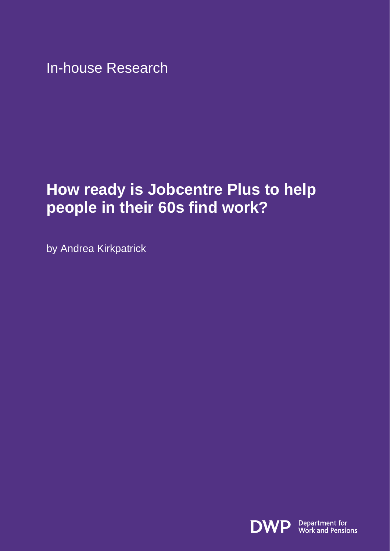In-house Research

# **How ready is Jobcentre Plus to help people in their 60s find work?**

by Andrea Kirkpatrick

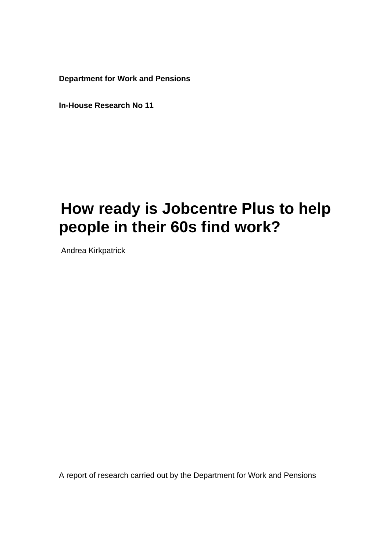**Department for Work and Pensions** 

**In-House Research No 11**

# **How ready is Jobcentre Plus to help people in their 60s find work?**

Andrea Kirkpatrick

A report of research carried out by the Department for Work and Pensions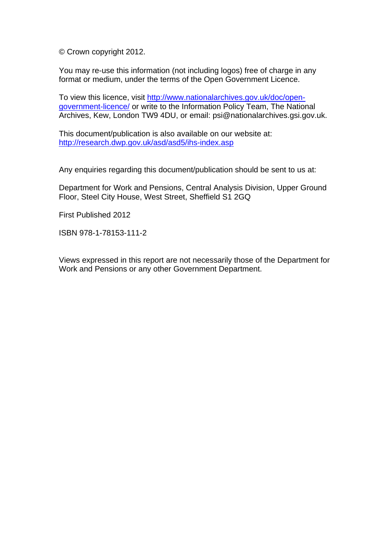© Crown copyright 2012.

You may re-use this information (not including logos) free of charge in any format or medium, under the terms of the Open Government Licence.

To view this licence, visit [http://www.nationalarchives.gov.uk/doc/open](http://www.nationalarchives.gov.uk/doc/open-government-licence/)[government-licence/](http://www.nationalarchives.gov.uk/doc/open-government-licence/) or write to the Information Policy Team, The National Archives, Kew, London TW9 4DU, or email: psi@nationalarchives.gsi.gov.uk.

This document/publication is also available on our website at: <http://research.dwp.gov.uk/asd/asd5/ihs-index.asp>

Any enquiries regarding this document/publication should be sent to us at:

Department for Work and Pensions, Central Analysis Division, Upper Ground Floor, Steel City House, West Street, Sheffield S1 2GQ

First Published 2012

ISBN 978-1-78153-111-2

Views expressed in this report are not necessarily those of the Department for Work and Pensions or any other Government Department.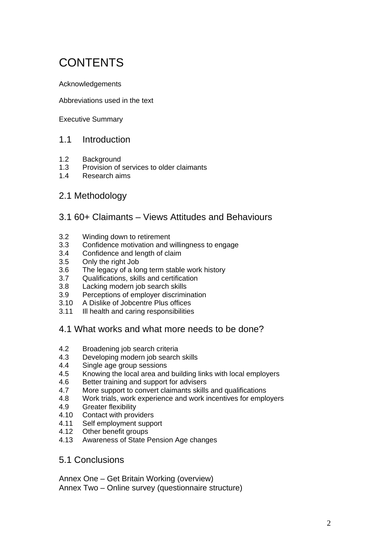# **CONTENTS**

Acknowledgements

Abbreviations used in the text

Executive Summary

#### 1.1 Introduction

- 1.2 Background
- 1.3 Provision of services to older claimants<br>1.4 Research aims
- Research aims

#### 2.1 Methodology

#### 3.1 60+ Claimants – Views Attitudes and Behaviours

- 3.2 Winding down to retirement
- 3.3 Confidence motivation and willingness to engage
- 3.4 Confidence and length of claim
- 3.5 Only the right Job
- 3.6 The legacy of a long term stable work history
- 3.7 Qualifications, skills and certification
- 3.8 Lacking modern job search skills
- 3.9 Perceptions of employer discrimination
- 3.10 A Dislike of Jobcentre Plus offices
- 3.11 Ill health and caring responsibilities
- 4.1 What works and what more needs to be done?
- 4.2 Broadening job search criteria
- 4.3 Developing modern job search skills
- 4.4 Single age group sessions
- 4.5 Knowing the local area and building links with local employers
- 4.6 Better training and support for advisers
- 4.7 More support to convert claimants skills and qualifications
- 4.8 Work trials, work experience and work incentives for employers
- 4.9 Greater flexibility
- 4.10 Contact with providers
- 4.11 Self employment support
- 4.12 Other benefit groups
- 4.13 Awareness of State Pension Age changes
- 5.1 Conclusions

Annex One – Get Britain Working (overview) Annex Two – Online survey (questionnaire structure)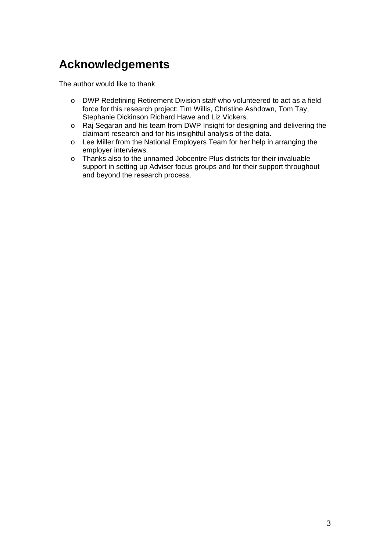# **Acknowledgements**

The author would like to thank

- o DWP Redefining Retirement Division staff who volunteered to act as a field force for this research project: Tim Willis, Christine Ashdown, Tom Tay, Stephanie Dickinson Richard Hawe and Liz Vickers.
- o Raj Segaran and his team from DWP Insight for designing and delivering the claimant research and for his insightful analysis of the data.
- o Lee Miller from the National Employers Team for her help in arranging the employer interviews.
- o Thanks also to the unnamed Jobcentre Plus districts for their invaluable support in setting up Adviser focus groups and for their support throughout and beyond the research process.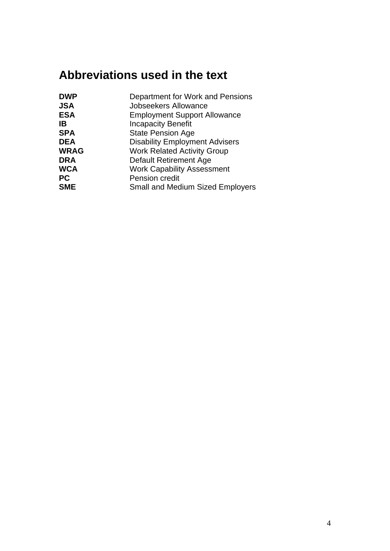# **Abbreviations used in the text**

| <b>DWP</b>  | Department for Work and Pensions        |
|-------------|-----------------------------------------|
| <b>JSA</b>  | <b>Jobseekers Allowance</b>             |
| <b>ESA</b>  | <b>Employment Support Allowance</b>     |
| ΙB          | <b>Incapacity Benefit</b>               |
| <b>SPA</b>  | <b>State Pension Age</b>                |
| <b>DEA</b>  | <b>Disability Employment Advisers</b>   |
| <b>WRAG</b> | <b>Work Related Activity Group</b>      |
| <b>DRA</b>  | <b>Default Retirement Age</b>           |
| <b>WCA</b>  | <b>Work Capability Assessment</b>       |
| <b>PC</b>   | Pension credit                          |
| <b>SME</b>  | <b>Small and Medium Sized Employers</b> |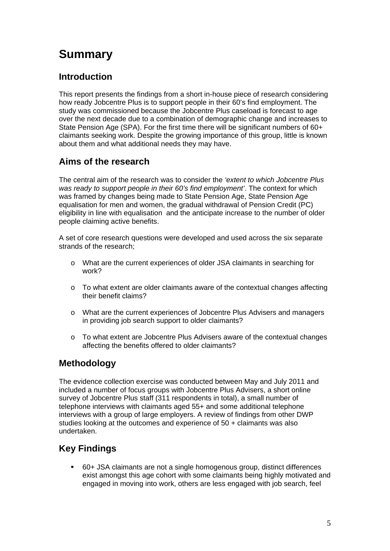# **Summary**

# **Introduction**

This report presents the findings from a short in-house piece of research considering how ready Jobcentre Plus is to support people in their 60's find employment. The study was commissioned because the Jobcentre Plus caseload is forecast to age over the next decade due to a combination of demographic change and increases to State Pension Age (SPA). For the first time there will be significant numbers of 60+ claimants seeking work. Despite the growing importance of this group, little is known about them and what additional needs they may have.

# **Aims of the research**

The central aim of the research was to consider the *'extent to which Jobcentre Plus was ready to support people in their 60's find employment'*. The context for which was framed by changes being made to State Pension Age, State Pension Age equalisation for men and women, the gradual withdrawal of Pension Credit (PC) eligibility in line with equalisation and the anticipate increase to the number of older people claiming active benefits.

A set of core research questions were developed and used across the six separate strands of the research;

- o What are the current experiences of older JSA claimants in searching for work?
- o To what extent are older claimants aware of the contextual changes affecting their benefit claims?
- o What are the current experiences of Jobcentre Plus Advisers and managers in providing job search support to older claimants?
- o To what extent are Jobcentre Plus Advisers aware of the contextual changes affecting the benefits offered to older claimants?

# **Methodology**

The evidence collection exercise was conducted between May and July 2011 and included a number of focus groups with Jobcentre Plus Advisers, a short online survey of Jobcentre Plus staff (311 respondents in total), a small number of telephone interviews with claimants aged 55+ and some additional telephone interviews with a group of large employers. A review of findings from other DWP studies looking at the outcomes and experience of 50 + claimants was also undertaken.

# **Key Findings**

 60+ JSA claimants are not a single homogenous group, distinct differences exist amongst this age cohort with some claimants being highly motivated and engaged in moving into work, others are less engaged with job search, feel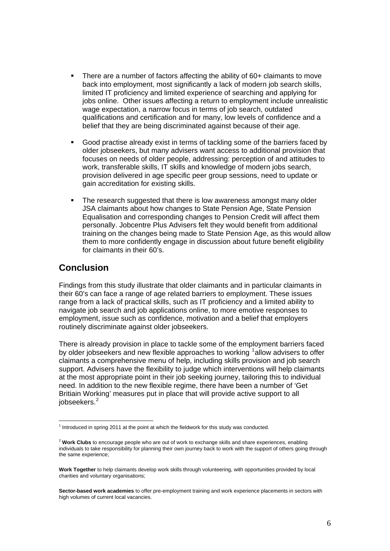- There are a number of factors affecting the ability of 60+ claimants to move back into employment, most significantly a lack of modern job search skills, limited IT proficiency and limited experience of searching and applying for jobs online. Other issues affecting a return to employment include unrealistic wage expectation, a narrow focus in terms of job search, outdated qualifications and certification and for many, low levels of confidence and a belief that they are being discriminated against because of their age.
- Good practise already exist in terms of tackling some of the barriers faced by older jobseekers, but many advisers want access to additional provision that focuses on needs of older people, addressing: perception of and attitudes to work, transferable skills, IT skills and knowledge of modern jobs search, provision delivered in age specific peer group sessions, need to update or gain accreditation for existing skills.
- The research suggested that there is low awareness amongst many older JSA claimants about how changes to State Pension Age, State Pension Equalisation and corresponding changes to Pension Credit will affect them personally. Jobcentre Plus Advisers felt they would benefit from additional training on the changes being made to State Pension Age, as this would allow them to more confidently engage in discussion about future benefit eligibility for claimants in their 60's.

#### **Conclusion**

1

Findings from this study illustrate that older claimants and in particular claimants in their 60's can face a range of age related barriers to employment. These issues range from a lack of practical skills, such as IT proficiency and a limited ability to navigate job search and job applications online, to more emotive responses to employment, issue such as confidence, motivation and a belief that employers routinely discriminate against older jobseekers.

There is already provision in place to tackle some of the employment barriers faced by older jobseekers and new flexible approaches to working <sup>[1](#page-7-0)</sup>allow advisers to offer claimants a comprehensive menu of help, including skills provision and job search support. Advisers have the flexibility to judge which interventions will help claimants at the most appropriate point in their job seeking journey, tailoring this to individual need. In addition to the new flexible regime, there have been a number of 'Get Britiain Working' measures put in place that will provide active support to all jobseekers.<sup>[2](#page-7-1)</sup>

<span id="page-7-0"></span> $<sup>1</sup>$  Introduced in spring 2011 at the point at which the fieldwork for this study was conducted.</sup>

<span id="page-7-1"></span><sup>2</sup> **Work Clubs** to encourage people who are out of work to exchange skills and share experiences, enabling individuals to take responsibility for planning their own journey back to work with the support of others going through the same experience;

**Work Together** to help claimants develop work skills through volunteering, with opportunities provided by local charities and voluntary organisations;

**Sector-based work academies** to offer pre-employment training and work experience placements in sectors with high volumes of current local vacancies.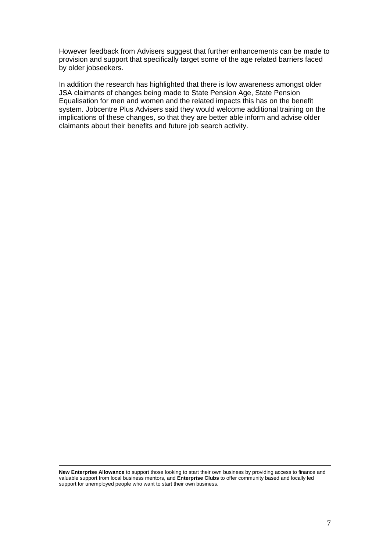However feedback from Advisers suggest that further enhancements can be made to provision and support that specifically target some of the age related barriers faced by older jobseekers.

In addition the research has highlighted that there is low awareness amongst older JSA claimants of changes being made to State Pension Age, State Pension Equalisation for men and women and the related impacts this has on the benefit system. Jobcentre Plus Advisers said they would welcome additional training on the implications of these changes, so that they are better able inform and advise older claimants about their benefits and future job search activity.

**New Enterprise Allowance** to support those looking to start their own business by providing access to finance and valuable support from local business mentors, and **Enterprise Clubs** to offer community based and locally led support for unemployed people who want to start their own business.

1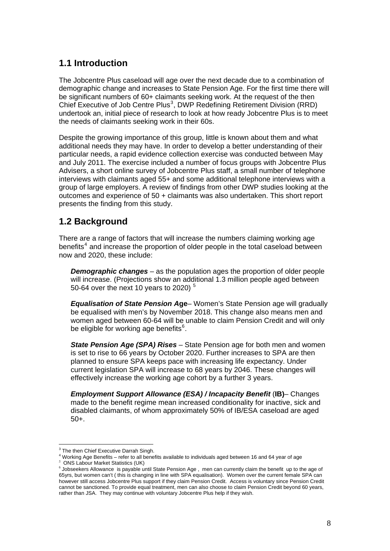# **1.1 Introduction**

The Jobcentre Plus caseload will age over the next decade due to a combination of demographic change and increases to State Pension Age. For the first time there will be significant numbers of 60+ claimants seeking work. At the request of the then Chief Executive of Job Centre Plus<sup>[3](#page-9-0)</sup>, DWP Redefining Retirement Division (RRD) undertook an, initial piece of research to look at how ready Jobcentre Plus is to meet the needs of claimants seeking work in their 60s.

Despite the growing importance of this group, little is known about them and what additional needs they may have. In order to develop a better understanding of their particular needs, a rapid evidence collection exercise was conducted between May and July 2011. The exercise included a number of focus groups with Jobcentre Plus Advisers, a short online survey of Jobcentre Plus staff, a small number of telephone interviews with claimants aged 55+ and some additional telephone interviews with a group of large employers. A review of findings from other DWP studies looking at the outcomes and experience of 50 + claimants was also undertaken. This short report presents the finding from this study.

## **1.2 Background**

There are a range of factors that will increase the numbers claiming working age benefits<sup>[4](#page-9-1)</sup> and increase the proportion of older people in the total caseload between now and 2020, these include:

*Demographic changes* – as the population ages the proportion of older people will increase. (Projections show an additional 1.3 million people aged between 50-64 over the next 10 years to 2020) [5](#page-9-2)

*Equalisation of State Pension A***ge**– Women's State Pension age will gradually be equalised with men's by November 2018. This change also means men and women aged between 60-64 will be unable to claim Pension Credit and will only be eligible for working age benefits<sup>[6](#page-9-3)</sup>.

*State Pension Age (SPA) Rises* – State Pension age for both men and women is set to rise to 66 years by October 2020. Further increases to SPA are then planned to ensure SPA keeps pace with increasing life expectancy. Under current legislation SPA will increase to 68 years by 2046. These changes will effectively increase the working age cohort by a further 3 years.

*Employment Support Allowance (ESA) / Incapacity Benefit (IB)– Changes* made to the benefit regime mean increased conditionality for inactive, sick and disabled claimants, of whom approximately 50% of IB/ESA caseload are aged 50+.

 3 The then Chief Executive Darrah Singh.

<span id="page-9-0"></span><sup>4</sup> Working Age Benefits – refer to all benefits available to individuals aged between 16 and 64 year of age

<span id="page-9-1"></span>*<sup>5</sup>* ONS Labour Market Statistics (UK)

<span id="page-9-3"></span><span id="page-9-2"></span> $6$  Jobseekers Allowance is payable until State Pension Age, men can currently claim the benefit up to the age of 65yrs, but women can't ( this is changing in line with SPA equalisation). Women over the current female SPA can however still access Jobcentre Plus support if they claim Pension Credit. Access is voluntary since Pension Credit cannot be sanctioned. To provide equal treatment, men can also choose to claim Pension Credit beyond 60 years, rather than JSA. They may continue with voluntary Jobcentre Plus help if they wish.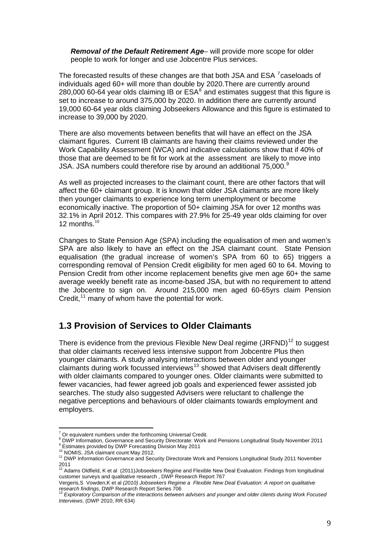*Removal of the Default Retirement Age*– will provide more scope for older people to work for longer and use Jobcentre Plus services.

The forecasted results of these changes are that both JSA and ESA <sup>[7](#page-10-0)</sup> caseloads of individuals aged 60+ will more than double by 2020.There are currently around 2[8](#page-10-1)0,000 60-64 year olds claiming IB or  $\text{ESA}^8$  and estimates suggest that this figure is set to increase to around 375,000 by 2020. In addition there are currently around 19,000 60-64 year olds claiming Jobseekers Allowance and this figure is estimated to increase to 39,000 by 2020.

There are also movements between benefits that will have an effect on the JSA claimant figures. Current IB claimants are having their claims reviewed under the Work Capability Assessment (WCA) and indicative calculations show that if 40% of those that are deemed to be fit for work at the assessment are likely to move into JSA. JSA numbers could therefore rise by around an additional 75,000. $9$ 

As well as projected increases to the claimant count, there are other factors that will affect the 60+ claimant group. It is known that older JSA claimants are more likely then younger claimants to experience long term unemployment or become economically inactive. The proportion of 50+ claiming JSA for over 12 months was 32.1% in April 2012. This compares with 27.9% for 25-49 year olds claiming for over 12 months. [10](#page-10-3)

Changes to State Pension Age (SPA) including the equalisation of men and women's SPA are also likely to have an effect on the JSA claimant count. State Pension equalisation (the gradual increase of women's SPA from 60 to 65) triggers a corresponding removal of Pension Credit eligibility for men aged 60 to 64. Moving to Pension Credit from other income replacement benefits give men age 60+ the same average weekly benefit rate as income-based JSA, but with no requirement to attend the Jobcentre to sign on. Around 215,000 men aged 60-65yrs claim Pension Credit,  $11$  many of whom have the potential for work.

#### **1.3 Provision of Services to Older Claimants**

There is evidence from the previous Flexible New Deal regime  $(JRFND)^{12}$  $(JRFND)^{12}$  $(JRFND)^{12}$  to suggest that older claimants received less intensive support from Jobcentre Plus then younger claimants. A study analysing interactions between older and younger claimants during work focussed interviews<sup>[13](#page-10-6)</sup> showed that Advisers dealt differently with older claimants compared to younger ones. Older claimants were submitted to fewer vacancies, had fewer agreed job goals and experienced fewer assisted job searches. The study also suggested Advisers were reluctant to challenge the negative perceptions and behaviours of older claimants towards employment and employers.

 7 Or equivalent numbers under the forthcoming Universal Credit.

<span id="page-10-0"></span><sup>&</sup>lt;sup>8</sup> DWP Information, Governance and Security Directorate: Work and Pensions Longitudinal Study November 2011

<span id="page-10-4"></span><span id="page-10-3"></span>

<span id="page-10-2"></span><span id="page-10-1"></span><sup>&</sup>lt;sup>9</sup> Estimates provided by DWP Forecasting Division May 2011<br><sup>10</sup> NOMIS, JSA claimant count May 2012.<br><sup>11</sup> DWP Information Governance and Security Directorate Work and Pensions Longitudinal Study 2011 November 2011<br><sup>12</sup> Adams Oldfield, K et al (2011)Jobseekers Regime and Flexible New Deal Evaluation: Findings from longitudinal

<span id="page-10-5"></span>customer surveys and qualitative research , DWP Research Report 767

Vergeris*,*S Vowden,K et al *(2010) Jobseekers Regime a Flexible New Deal Evaluation: A report on qualitative research findings, DWP Research Report Series 706*<br><sup>13</sup> *Exploratory Comparison of the interactions between advisers and younger and older clients during Work Focused* 

<span id="page-10-6"></span>*Interviews*, (DWP 2010, RR 634)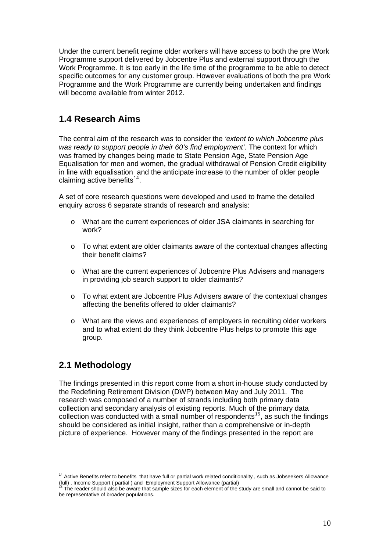Under the current benefit regime older workers will have access to both the pre Work Programme support delivered by Jobcentre Plus and external support through the Work Programme. It is too early in the life time of the programme to be able to detect specific outcomes for any customer group. However evaluations of both the pre Work Programme and the Work Programme are currently being undertaken and findings will become available from winter 2012.

## **1.4 Research Aims**

The central aim of the research was to consider the *'extent to which Jobcentre plus was ready to support people in their 60's find employment'*. The context for which was framed by changes being made to State Pension Age, State Pension Age Equalisation for men and women, the gradual withdrawal of Pension Credit eligibility in line with equalisation and the anticipate increase to the number of older people claiming active benefits $14$ .

A set of core research questions were developed and used to frame the detailed enquiry across 6 separate strands of research and analysis:

- o What are the current experiences of older JSA claimants in searching for work?
- o To what extent are older claimants aware of the contextual changes affecting their benefit claims?
- o What are the current experiences of Jobcentre Plus Advisers and managers in providing job search support to older claimants?
- o To what extent are Jobcentre Plus Advisers aware of the contextual changes affecting the benefits offered to older claimants?
- o What are the views and experiences of employers in recruiting older workers and to what extent do they think Jobcentre Plus helps to promote this age group.

## **2.1 Methodology**

The findings presented in this report come from a short in-house study conducted by the Redefining Retirement Division (DWP) between May and July 2011. The research was composed of a number of strands including both primary data collection and secondary analysis of existing reports. Much of the primary data collection was conducted with a small number of respondents<sup>[15](#page-11-1)</sup>, as such the findings should be considered as initial insight, rather than a comprehensive or in-depth picture of experience. However many of the findings presented in the report are

<span id="page-11-0"></span><sup>1</sup>  $14$  Active Benefits refer to benefits that have full or partial work related conditionality, such as Jobseekers Allowance (full), Income Support ( partial ) and Employment Support Allowance (partial)<br><sup>15</sup> The reader should also be aware that sample sizes for each element of the study are small and cannot be said to

<span id="page-11-1"></span>be representative of broader populations.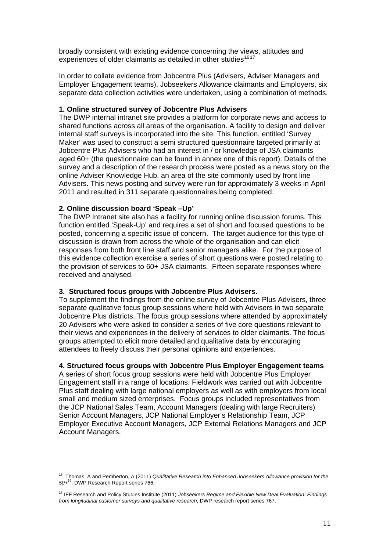broadly consistent with existing evidence concerning the views, attitudes and experiences of older claimants as detailed in other studies<sup>1617</sup>

In order to collate evidence from Jobcentre Plus (Advisers, Adviser Managers and Employer Engagement teams), Jobseekers Allowance claimants and Employers, six separate data collection activities were undertaken, using a combination of methods.

#### **1. Online structured survey of Jobcentre Plus Advisers**

The DWP internal intranet site provides a platform for corporate news and access to shared functions across all areas of the organisation. A facility to design and deliver internal staff surveys is incorporated into the site. This function, entitled 'Survey Maker' was used to construct a semi structured questionnaire targeted primarily at Jobcentre Plus Advisers who had an interest in / or knowledge of JSA claimants aged 60+ (the questionnaire can be found in annex one of this report). Details of the survey and a description of the research process were posted as a news story on the online Adviser Knowledge Hub, an area of the site commonly used by front line Advisers. This news posting and survey were run for approximately 3 weeks in April 2011 and resulted in 311 separate questionnaires being completed.

#### **2. Online discussion board 'Speak –Up'**

1

The DWP Intranet site also has a facility for running online discussion forums. This function entitled 'Speak-Up' and requires a set of short and focused questions to be posted, concerning a specific issue of concern. The target audience for this type of discussion is drawn from across the whole of the organisation and can elicit responses from both front line staff and senior managers alike. For the purpose of this evidence collection exercise a series of short questions were posted relating to the provision of services to 60+ JSA claimants. Fifteen separate responses where received and analysed.

#### **3. Structured focus groups with Jobcentre Plus Advisers.**

To supplement the findings from the online survey of Jobcentre Plus Advisers, three separate qualitative focus group sessions where held with Advisers in two separate Jobcentre Plus districts. The focus group sessions where attended by approximately 20 Advisers who were asked to consider a series of five core questions relevant to their views and experiences in the delivery of services to older claimants. The focus groups attempted to elicit more detailed and qualitative data by encouraging attendees to freely discuss their personal opinions and experiences.

#### **4. Structured focus groups with Jobcentre Plus Employer Engagement teams**

A series of short focus group sessions were held with Jobcentre Plus Employer Engagement staff in a range of locations. Fieldwork was carried out with Jobcentre Plus staff dealing with large national employers as well as with employers from local small and medium sized enterprises. Focus groups included representatives from the JCP National Sales Team, Account Managers (dealing with large Recruiters) Senior Account Managers, JCP National Employer's Relationship Team, JCP Employer Executive Account Managers, JCP External Relations Managers and JCP Account Managers.

<span id="page-12-0"></span><sup>16</sup> Thomas, A and Pemberton, A (2011) *Qualitative Research into Enhanced Jobseekers Allowance provision for the 50+*16, DWP Research Report series 766.

<sup>17</sup> IFF Research and Policy Studies Institute (2011) *Jobseekers Regime and Flexible New Deal Evaluation: Findings from longitudinal customer surveys and qualitative research*, DWP research report series 767.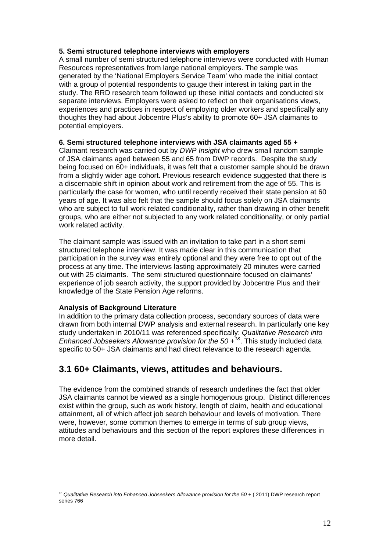#### **5. Semi structured telephone interviews with employers**

A small number of semi structured telephone interviews were conducted with Human Resources representatives from large national employers. The sample was generated by the 'National Employers Service Team' who made the initial contact with a group of potential respondents to gauge their interest in taking part in the study. The RRD research team followed up these initial contacts and conducted six separate interviews. Employers were asked to reflect on their organisations views, experiences and practices in respect of employing older workers and specifically any thoughts they had about Jobcentre Plus's ability to promote 60+ JSA claimants to potential employers.

#### **6. Semi structured telephone interviews with JSA claimants aged 55 +**

Claimant research was carried out by *DWP Insight* who drew small random sample of JSA claimants aged between 55 and 65 from DWP records. Despite the study being focused on 60+ individuals, it was felt that a customer sample should be drawn from a slightly wider age cohort. Previous research evidence suggested that there is a discernable shift in opinion about work and retirement from the age of 55. This is particularly the case for women, who until recently received their state pension at 60 years of age. It was also felt that the sample should focus solely on JSA claimants who are subject to full work related conditionality, rather than drawing in other benefit groups, who are either not subjected to any work related conditionality, or only partial work related activity.

The claimant sample was issued with an invitation to take part in a short semi structured telephone interview. It was made clear in this communication that participation in the survey was entirely optional and they were free to opt out of the process at any time. The interviews lasting approximately 20 minutes were carried out with 25 claimants. The semi structured questionnaire focused on claimants' experience of job search activity, the support provided by Jobcentre Plus and their knowledge of the State Pension Age reforms.

#### **Analysis of Background Literature**

1

In addition to the primary data collection process, secondary sources of data were drawn from both internal DWP analysis and external research. In particularly one key study undertaken in 2010/11 was referenced specifically: *Qualitative Research into Enhanced Jobseekers Allowance provision for the 50 +[18](#page-13-0)*. This study included data specific to 50+ JSA claimants and had direct relevance to the research agenda.

#### **3.1 60+ Claimants, views, attitudes and behaviours.**

The evidence from the combined strands of research underlines the fact that older JSA claimants cannot be viewed as a single homogenous group. Distinct differences exist within the group, such as work history, length of claim, health and educational attainment, all of which affect job search behaviour and levels of motivation. There were, however, some common themes to emerge in terms of sub group views, attitudes and behaviours and this section of the report explores these differences in more detail.

<span id="page-13-0"></span><sup>18</sup> *Qualitative Research into Enhanced Jobseekers Allowance provision for the 50 +* ( 2011) DWP research report series 766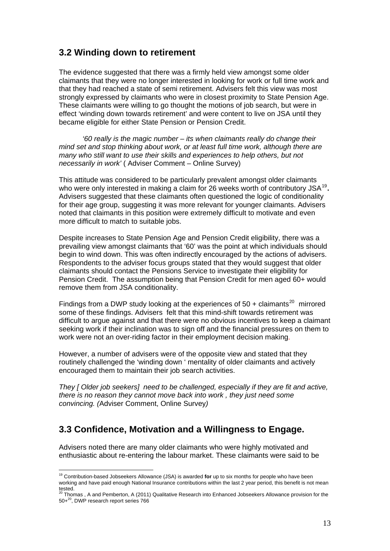#### **3.2 Winding down to retirement**

The evidence suggested that there was a firmly held view amongst some older claimants that they were no longer interested in looking for work or full time work and that they had reached a state of semi retirement. Advisers felt this view was most strongly expressed by claimants who were in closest proximity to State Pension Age. These claimants were willing to go thought the motions of job search, but were in effect 'winding down towards retirement' and were content to live on JSA until they became eligible for either State Pension or Pension Credit.

 *'60 really is the magic number – its when claimants really do change their mind set and stop thinking about work, or at least full time work, although there are many who still want to use their skills and experiences to help others, but not necessarily in work'* ( Adviser Comment – Online Survey)

This attitude was considered to be particularly prevalent amongst older claimants who were only interested in making a claim for 26 weeks worth of contributory JSA<sup>[19](#page-14-0)</sup>. Advisers suggested that these claimants often questioned the logic of conditionality for their age group, suggesting it was more relevant for younger claimants. Advisers noted that claimants in this position were extremely difficult to motivate and even more difficult to match to suitable jobs.

Despite increases to State Pension Age and Pension Credit eligibility, there was a prevailing view amongst claimants that '60' was the point at which individuals should begin to wind down. This was often indirectly encouraged by the actions of advisers. Respondents to the adviser focus groups stated that they would suggest that older claimants should contact the Pensions Service to investigate their eligibility for Pension Credit. The assumption being that Pension Credit for men aged 60+ would remove them from JSA conditionality.

Findings from a DWP study looking at the experiences of  $50 +$  claimants<sup>[20](#page-14-1)</sup> mirrored some of these findings. Advisers felt that this mind-shift towards retirement was difficult to argue against and that there were no obvious incentives to keep a claimant seeking work if their inclination was to sign off and the financial pressures on them to work were not an over-riding factor in their employment decision making.

However, a number of advisers were of the opposite view and stated that they routinely challenged the 'winding down ' mentality of older claimants and actively encouraged them to maintain their job search activities.

*They [ Older job seekers] need to be challenged, especially if they are fit and active, there is no reason they cannot move back into work , they just need some convincing. (*Adviser Comment, Online Survey*)* 

#### **3.3 Confidence, Motivation and a Willingness to Engage.**

1

Advisers noted there are many older claimants who were highly motivated and enthusiastic about re-entering the labour market. These claimants were said to be

<span id="page-14-0"></span><sup>19</sup> Contribution-based Jobseekers Allowance (JSA) is awarded **for** up to six months for people who have been working and have paid enough National Insurance contributions within the last 2 year period, this benefit is not mean tested.<br><sup>20</sup> Thomas , A and Pemberton, A (2011) Qualitative Research into Enhanced Jobseekers Allowance provision for the

<span id="page-14-1"></span><sup>50+&</sup>lt;sup>20</sup>. DWP research report series 766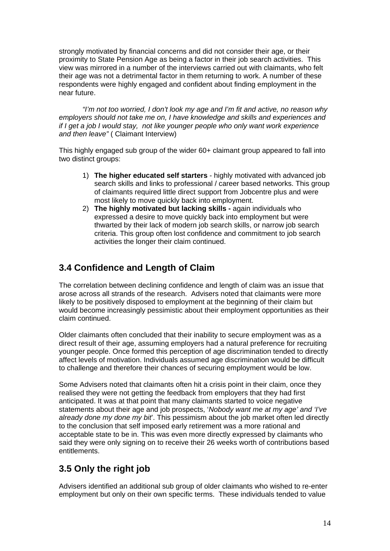strongly motivated by financial concerns and did not consider their age, or their proximity to State Pension Age as being a factor in their job search activities. This view was mirrored in a number of the interviews carried out with claimants, who felt their age was not a detrimental factor in them returning to work. A number of these respondents were highly engaged and confident about finding employment in the near future.

*"I'm not too worried, I don't look my age and I'm fit and active, no reason why employers should not take me on, I have knowledge and skills and experiences and if I get a job I would stay, not like younger people who only want work experience and then leave"* ( Claimant Interview)

This highly engaged sub group of the wider 60+ claimant group appeared to fall into two distinct groups:

- 1) **The higher educated self starters**  highly motivated with advanced job search skills and links to professional / career based networks. This group of claimants required little direct support from Jobcentre plus and were most likely to move quickly back into employment.
- 2) **The highly motivated but lacking skills -** again individuals who expressed a desire to move quickly back into employment but were thwarted by their lack of modern job search skills, or narrow job search criteria. This group often lost confidence and commitment to job search activities the longer their claim continued.

## **3.4 Confidence and Length of Claim**

The correlation between declining confidence and length of claim was an issue that arose across all strands of the research. Advisers noted that claimants were more likely to be positively disposed to employment at the beginning of their claim but would become increasingly pessimistic about their employment opportunities as their claim continued.

Older claimants often concluded that their inability to secure employment was as a direct result of their age, assuming employers had a natural preference for recruiting younger people. Once formed this perception of age discrimination tended to directly affect levels of motivation. Individuals assumed age discrimination would be difficult to challenge and therefore their chances of securing employment would be low.

Some Advisers noted that claimants often hit a crisis point in their claim, once they realised they were not getting the feedback from employers that they had first anticipated. It was at that point that many claimants started to voice negative statements about their age and job prospects, '*Nobody want me at my age' and 'I've already done my done my bit*'. This pessimism about the job market often led directly to the conclusion that self imposed early retirement was a more rational and acceptable state to be in. This was even more directly expressed by claimants who said they were only signing on to receive their 26 weeks worth of contributions based entitlements.

# **3.5 Only the right job**

Advisers identified an additional sub group of older claimants who wished to re-enter employment but only on their own specific terms. These individuals tended to value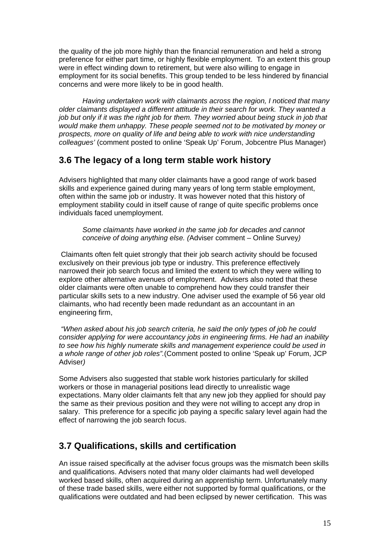the quality of the job more highly than the financial remuneration and held a strong preference for either part time, or highly flexible employment. To an extent this group were in effect winding down to retirement, but were also willing to engage in employment for its social benefits. This group tended to be less hindered by financial concerns and were more likely to be in good health.

*Having undertaken work with claimants across the region, I noticed that many older claimants displayed a different attitude in their search for work. They wanted a job but only if it was the right job for them. They worried about being stuck in job that would make them unhappy. These people seemed not to be motivated by money or prospects, more on quality of life and being able to work with nice understanding colleagues'* (comment posted to online 'Speak Up' Forum, Jobcentre Plus Manager)

### **3.6 The legacy of a long term stable work history**

Advisers highlighted that many older claimants have a good range of work based skills and experience gained during many years of long term stable employment, often within the same job or industry. It was however noted that this history of employment stability could in itself cause of range of quite specific problems once individuals faced unemployment.

*Some claimants have worked in the same job for decades and cannot conceive of doing anything else. (*Adviser comment – Online Survey*)* 

 Claimants often felt quiet strongly that their job search activity should be focused exclusively on their previous job type or industry. This preference effectively narrowed their job search focus and limited the extent to which they were willing to explore other alternative avenues of employment. Advisers also noted that these older claimants were often unable to comprehend how they could transfer their particular skills sets to a new industry. One adviser used the example of 56 year old claimants, who had recently been made redundant as an accountant in an engineering firm,

 *"When asked about his job search criteria, he said the only types of job he could consider applying for were accountancy jobs in engineering firms. He had an inability to see how his highly numerate skills and management experience could be used in a whole range of other job roles".*(Comment posted to online 'Speak up' Forum, JCP Adviser*)* 

Some Advisers also suggested that stable work histories particularly for skilled workers or those in managerial positions lead directly to unrealistic wage expectations. Many older claimants felt that any new job they applied for should pay the same as their previous position and they were not willing to accept any drop in salary. This preference for a specific job paying a specific salary level again had the effect of narrowing the job search focus.

# **3.7 Qualifications, skills and certification**

An issue raised specifically at the adviser focus groups was the mismatch been skills and qualifications. Advisers noted that many older claimants had well developed worked based skills, often acquired during an apprentiship term. Unfortunately many of these trade based skills, were either not supported by formal qualifications, or the qualifications were outdated and had been eclipsed by newer certification. This was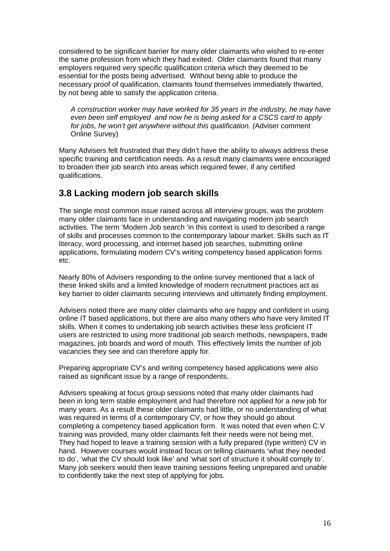considered to be significant barrier for many older claimants who wished to re-enter the same profession from which they had exited. Older claimants found that many employers required very specific qualification criteria which they deemed to be essential for the posts being advertised. Without being able to produce the necessary proof of qualification, claimants found themselves immediately thwarted, by not being able to satisfy the application criteria.

*A construction worker may have worked for 35 years in the industry, he may have even been self employed and now he is being asked for a CSCS card to apply for jobs, he won't get anywhere without this qualification. (*Adviser comment Online Survey)

Many Advisers felt frustrated that they didn't have the ability to always address these specific training and certification needs. As a result many claimants were encouraged to broaden their job search into areas which required fewer, if any certified qualifications.

## **3.8 Lacking modern job search skills**

The single most common issue raised across all interview groups, was the problem many older claimants face in understanding and navigating modern job search activities. The term 'Modern Job search 'in this context is used to described a range of skills and processes common to the contemporary labour market. Skills such as IT literacy, word processing, and internet based job searches, submitting online applications, formulating modern CV's writing competency based application forms etc.

Nearly 80% of Advisers responding to the online survey mentioned that a lack of these linked skills and a limited knowledge of modern recruitment practices act as key barrier to older claimants securing interviews and ultimately finding employment.

Advisers noted there are many older claimants who are happy and confident in using online IT based applications, but there are also many others who have very limited IT skills. When it comes to undertaking job search activities these less proficient IT users are restricted to using more traditional job search methods, newspapers, trade magazines, job boards and word of mouth. This effectively limits the number of job vacancies they see and can therefore apply for.

Preparing appropriate CV's and writing competency based applications were also raised as significant issue by a range of respondents.

Advisers speaking at focus group sessions noted that many older claimants had been in long term stable employment and had therefore not applied for a new job for many years. As a result these older claimants had little, or no understanding of what was required in terms of a contemporary CV, or how they should go about completing a competency based application form. It was noted that even when C.V training was provided, many older claimants felt their needs were not being met. They had hoped to leave a training session with a fully prepared (type written) CV in hand. However courses would instead focus on telling claimants 'what they needed to do', 'what the CV should look like' and 'what sort of structure it should comply to'. Many job seekers would then leave training sessions feeling unprepared and unable to confidently take the next step of applying for jobs.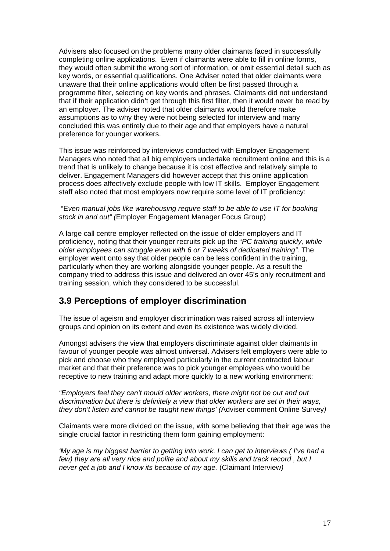Advisers also focused on the problems many older claimants faced in successfully completing online applications. Even if claimants were able to fill in online forms, they would often submit the wrong sort of information, or omit essential detail such as key words, or essential qualifications. One Adviser noted that older claimants were unaware that their online applications would often be first passed through a programme filter, selecting on key words and phrases. Claimants did not understand that if their application didn't get through this first filter, then it would never be read by an employer. The adviser noted that older claimants would therefore make assumptions as to why they were not being selected for interview and many concluded this was entirely due to their age and that employers have a natural preference for younger workers.

This issue was reinforced by interviews conducted with Employer Engagement Managers who noted that all big employers undertake recruitment online and this is a trend that is unlikely to change because it is cost effective and relatively simple to deliver. Engagement Managers did however accept that this online application process does affectively exclude people with low IT skills. Employer Engagement staff also noted that most employers now require some level of IT proficiency:

#### "E*ven manual jobs like warehousing require staff to be able to use IT for booking stock in and out" (*Employer Engagement Manager Focus Group)

A large call centre employer reflected on the issue of older employers and IT proficiency, noting that their younger recruits pick up the "*PC training quickly, while older employees can struggle even with 6 or 7 weeks of dedicated training".* The employer went onto say that older people can be less confident in the training, particularly when they are working alongside younger people. As a result the company tried to address this issue and delivered an over 45's only recruitment and training session, which they considered to be successful.

#### **3.9 Perceptions of employer discrimination**

The issue of ageism and employer discrimination was raised across all interview groups and opinion on its extent and even its existence was widely divided.

Amongst advisers the view that employers discriminate against older claimants in favour of younger people was almost universal. Advisers felt employers were able to pick and choose who they employed particularly in the current contracted labour market and that their preference was to pick younger employees who would be receptive to new training and adapt more quickly to a new working environment:

*"Employers feel they can't mould older workers, there might not be out and out discrimination but there is definitely a view that older workers are set in their ways, they don't listen and cannot be taught new things' (*Adviser comment Online Survey*)* 

Claimants were more divided on the issue, with some believing that their age was the single crucial factor in restricting them form gaining employment:

*'My age is my biggest barrier to getting into work. I can get to interviews ( I've had a few) they are all very nice and polite and about my skills and track record , but I never get a job and I know its because of my age.* (Claimant Interview*)*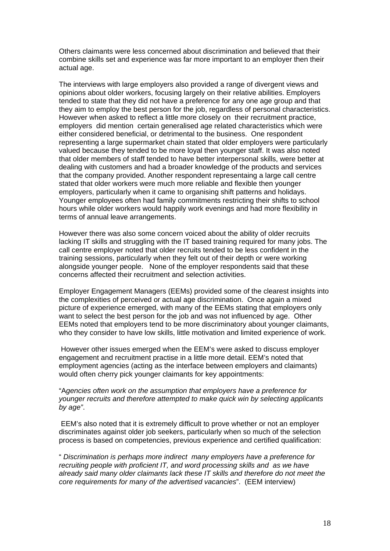Others claimants were less concerned about discrimination and believed that their combine skills set and experience was far more important to an employer then their actual age.

The interviews with large employers also provided a range of divergent views and opinions about older workers, focusing largely on their relative abilities. Employers tended to state that they did not have a preference for any one age group and that they aim to employ the best person for the job, regardless of personal characteristics. However when asked to reflect a little more closely on their recruitment practice, employers did mention certain generalised age related characteristics which were either considered beneficial, or detrimental to the business. One respondent representing a large supermarket chain stated that older employers were particularly valued because they tended to be more loyal then younger staff. It was also noted that older members of staff tended to have better interpersonal skills, were better at dealing with customers and had a broader knowledge of the products and services that the company provided. Another respondent representaing a large call centre stated that older workers were much more reliable and flexible then younger employers, particularly when it came to organising shift patterns and holidays. Younger employees often had family commitments restricting their shifts to school hours while older workers would happily work evenings and had more flexibility in terms of annual leave arrangements.

However there was also some concern voiced about the ability of older recruits lacking IT skills and struggling with the IT based training required for many jobs. The call centre employer noted that older recruits tended to be less confident in the training sessions, particularly when they felt out of their depth or were working alongside younger people. None of the employer respondents said that these concerns affected their recruitment and selection activities.

Employer Engagement Managers (EEMs) provided some of the clearest insights into the complexities of perceived or actual age discrimination. Once again a mixed picture of experience emerged, with many of the EEMs stating that employers only want to select the best person for the job and was not influenced by age. Other EEMs noted that employers tend to be more discriminatory about younger claimants, who they consider to have low skills, little motivation and limited experience of work.

 However other issues emerged when the EEM's were asked to discuss employer engagement and recruitment practise in a little more detail. EEM's noted that employment agencies (acting as the interface between employers and claimants) would often cherry pick younger claimants for key appointments:

#### "A*gencies often work on the assumption that employers have a preference for younger recruits and therefore attempted to make quick win by selecting applicants by age"*.

 EEM's also noted that it is extremely difficult to prove whether or not an employer discriminates against older job seekers, particularly when so much of the selection process is based on competencies, previous experience and certified qualification:

" *Discrimination is perhaps more indirect many employers have a preference for recruiting people with proficient IT, and word processing skills and as we have already said many older claimants lack these IT skills and therefore do not meet the core requirements for many of the advertised vacancies*". (EEM interview)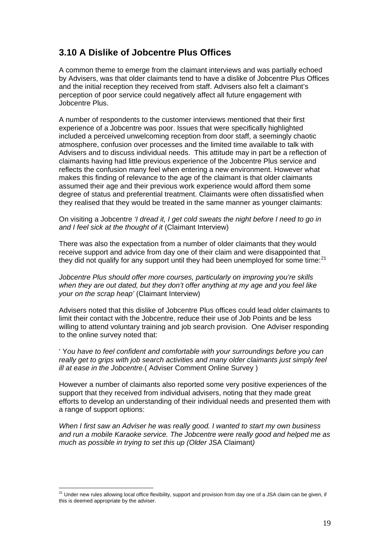## **3.10 A Dislike of Jobcentre Plus Offices**

A common theme to emerge from the claimant interviews and was partially echoed by Advisers, was that older claimants tend to have a dislike of Jobcentre Plus Offices and the initial reception they received from staff. Advisers also felt a claimant's perception of poor service could negatively affect all future engagement with Jobcentre Plus.

A number of respondents to the customer interviews mentioned that their first experience of a Jobcentre was poor. Issues that were specifically highlighted included a perceived unwelcoming reception from door staff, a seemingly chaotic atmosphere, confusion over processes and the limited time available to talk with Advisers and to discuss individual needs. This attitude may in part be a reflection of claimants having had little previous experience of the Jobcentre Plus service and reflects the confusion many feel when entering a new environment. However what makes this finding of relevance to the age of the claimant is that older claimants assumed their age and their previous work experience would afford them some degree of status and preferential treatment. Claimants were often dissatisfied when they realised that they would be treated in the same manner as younger claimants:

#### On visiting a Jobcentre *'I dread it, I get cold sweats the night before I need to go in and I feel sick at the thought of it* (Claimant Interview)

There was also the expectation from a number of older claimants that they would receive support and advice from day one of their claim and were disappointed that they did not qualify for any support until they had been unemployed for some time:<sup>[21](#page-20-0)</sup>

*Jobcentre Plus should offer more courses, particularly on improving you're skills when they are out dated, but they don't offer anything at my age and you feel like your on the scrap heap'* (Claimant Interview)

Advisers noted that this dislike of Jobcentre Plus offices could lead older claimants to limit their contact with the Jobcentre, reduce their use of Job Points and be less willing to attend voluntary training and job search provision. One Adviser responding to the online survey noted that:

' Y*ou have to feel confident and comfortable with your surroundings before you can really get to grips with job search activities and many older claimants just simply feel ill at ease in the Jobcentre*.( Adviser Comment Online Survey )

However a number of claimants also reported some very positive experiences of the support that they received from individual advisers, noting that they made great efforts to develop an understanding of their individual needs and presented them with a range of support options:

*When I first saw an Adviser he was really good. I wanted to start my own business and run a mobile Karaoke service. The Jobcentre were really good and helped me as much as possible in trying to set this up (Older* JSA Claimant*)* 

<span id="page-20-0"></span><sup>1</sup>  $^{21}$  Under new rules allowing local office flexibility, support and provision from day one of a JSA claim can be given, if this is deemed appropriate by the adviser.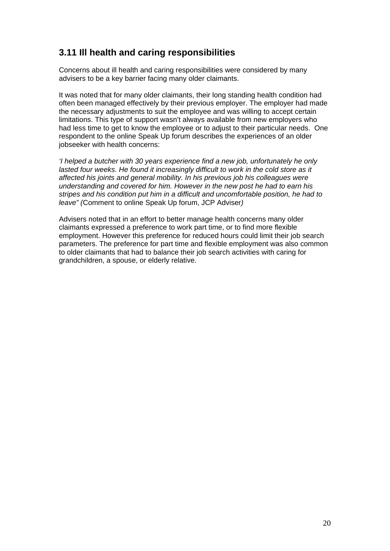## **3.11 Ill health and caring responsibilities**

Concerns about ill health and caring responsibilities were considered by many advisers to be a key barrier facing many older claimants.

It was noted that for many older claimants, their long standing health condition had often been managed effectively by their previous employer. The employer had made the necessary adjustments to suit the employee and was willing to accept certain limitations. This type of support wasn't always available from new employers who had less time to get to know the employee or to adjust to their particular needs. One respondent to the online Speak Up forum describes the experiences of an older jobseeker with health concerns:

*'I helped a butcher with 30 years experience find a new job, unfortunately he only lasted four weeks. He found it increasingly difficult to work in the cold store as it affected his joints and general mobility. In his previous job his colleagues were understanding and covered for him. However in the new post he had to earn his stripes and his condition put him in a difficult and uncomfortable position, he had to leave" (*Comment to online Speak Up forum, JCP Adviser*)* 

Advisers noted that in an effort to better manage health concerns many older claimants expressed a preference to work part time, or to find more flexible employment. However this preference for reduced hours could limit their job search parameters. The preference for part time and flexible employment was also common to older claimants that had to balance their job search activities with caring for grandchildren, a spouse, or elderly relative.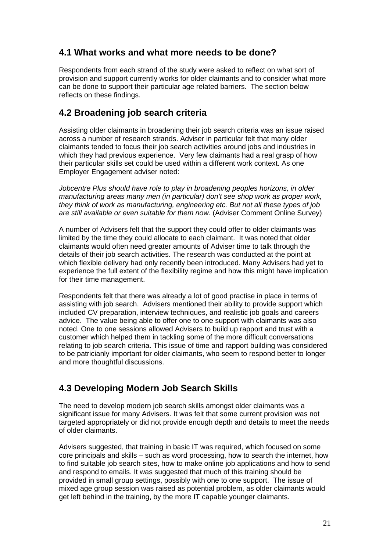## **4.1 What works and what more needs to be done?**

Respondents from each strand of the study were asked to reflect on what sort of provision and support currently works for older claimants and to consider what more can be done to support their particular age related barriers. The section below reflects on these findings.

## **4.2 Broadening job search criteria**

Assisting older claimants in broadening their job search criteria was an issue raised across a number of research strands. Adviser in particular felt that many older claimants tended to focus their job search activities around jobs and industries in which they had previous experience. Very few claimants had a real grasp of how their particular skills set could be used within a different work context. As one Employer Engagement adviser noted:

*Jobcentre Plus should have role to play in broadening peoples horizons, in older manufacturing areas many men (in particular) don't see shop work as proper work, they think of work as manufacturing, engineering etc. But not all these types of job are still available or even suitable for them now.* (Adviser Comment Online Survey)

A number of Advisers felt that the support they could offer to older claimants was limited by the time they could allocate to each claimant. It was noted that older claimants would often need greater amounts of Adviser time to talk through the details of their job search activities. The research was conducted at the point at which flexible delivery had only recently been introduced. Many Advisers had yet to experience the full extent of the flexibility regime and how this might have implication for their time management.

Respondents felt that there was already a lot of good practise in place in terms of assisting with job search. Advisers mentioned their ability to provide support which included CV preparation, interview techniques, and realistic job goals and careers advice. The value being able to offer one to one support with claimants was also noted. One to one sessions allowed Advisers to build up rapport and trust with a customer which helped them in tackling some of the more difficult conversations relating to job search criteria. This issue of time and rapport building was considered to be patricianly important for older claimants, who seem to respond better to longer and more thoughtful discussions.

# **4.3 Developing Modern Job Search Skills**

The need to develop modern job search skills amongst older claimants was a significant issue for many Advisers. It was felt that some current provision was not targeted appropriately or did not provide enough depth and details to meet the needs of older claimants.

Advisers suggested, that training in basic IT was required, which focused on some core principals and skills – such as word processing, how to search the internet, how to find suitable job search sites, how to make online job applications and how to send and respond to emails. It was suggested that much of this training should be provided in small group settings, possibly with one to one support. The issue of mixed age group session was raised as potential problem, as older claimants would get left behind in the training, by the more IT capable younger claimants.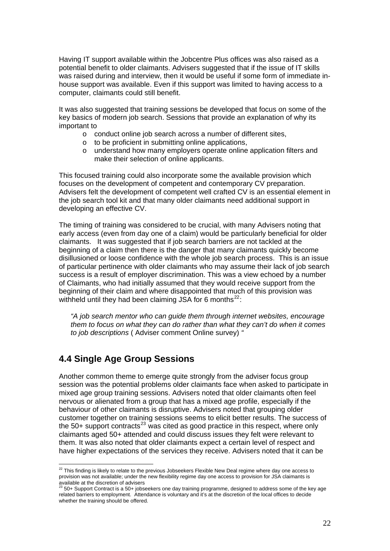Having IT support available within the Jobcentre Plus offices was also raised as a potential benefit to older claimants. Advisers suggested that if the issue of IT skills was raised during and interview, then it would be useful if some form of immediate inhouse support was available. Even if this support was limited to having access to a computer, claimants could still benefit.

It was also suggested that training sessions be developed that focus on some of the key basics of modern job search. Sessions that provide an explanation of why its important to

- $\circ$  conduct online job search across a number of different sites,
- o to be proficient in submitting online applications,
- o understand how many employers operate online application filters and make their selection of online applicants.

This focused training could also incorporate some the available provision which focuses on the development of competent and contemporary CV preparation. Advisers felt the development of competent well crafted CV is an essential element in the job search tool kit and that many older claimants need additional support in developing an effective CV.

The timing of training was considered to be crucial, with many Advisers noting that early access (even from day one of a claim) would be particularly beneficial for older claimants. It was suggested that if job search barriers are not tackled at the beginning of a claim then there is the danger that many claimants quickly become disillusioned or loose confidence with the whole job search process. This is an issue of particular pertinence with older claimants who may assume their lack of job search success is a result of employer discrimination. This was a view echoed by a number of Claimants, who had initially assumed that they would receive support from the beginning of their claim and where disappointed that much of this provision was withheld until they had been claiming JSA for 6 months $^{22}$  $^{22}$  $^{22}$ :

*"A job search mentor who can guide them through internet websites, encourage them to focus on what they can do rather than what they can't do when it comes to job descriptions* ( Adviser comment Online survey) *"* 

#### **4.4 Single Age Group Sessions**

1

Another common theme to emerge quite strongly from the adviser focus group session was the potential problems older claimants face when asked to participate in mixed age group training sessions. Advisers noted that older claimants often feel nervous or alienated from a group that has a mixed age profile, especially if the behaviour of other claimants is disruptive. Advisers noted that grouping older customer together on training sessions seems to elicit better results. The success of the 50+ support contracts<sup>[23](#page-23-1)</sup> was cited as good practice in this respect, where only claimants aged 50+ attended and could discuss issues they felt were relevant to them. It was also noted that older claimants expect a certain level of respect and have higher expectations of the services they receive. Advisers noted that it can be

<span id="page-23-0"></span> $^{22}$  This finding is likely to relate to the previous Jobseekers Flexible New Deal regime where day one access to provision was not available; under the new flexibility regime day one access to provision for JSA claimants is available at the discretion of advisers<br><sup>23</sup> 50+ Support Contract is a 50+ jobseekers one day training programme, designed to address some of the key age

<span id="page-23-1"></span>related barriers to employment. Attendance is voluntary and it's at the discretion of the local offices to decide whether the training should be offered.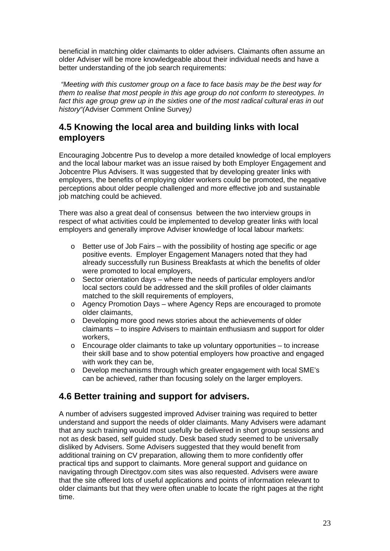beneficial in matching older claimants to older advisers. Claimants often assume an older Adviser will be more knowledgeable about their individual needs and have a better understanding of the job search requirements:

 *"Meeting with this customer group on a face to face basis may be the best way for them to realise that most people in this age group do not conform to stereotypes. In*  fact this age group grew up in the sixties one of the most radical cultural eras in out *history"(*Adviser Comment Online Survey*)* 

## **4.5 Knowing the local area and building links with local employers**

Encouraging Jobcentre Pus to develop a more detailed knowledge of local employers and the local labour market was an issue raised by both Employer Engagement and Jobcentre Plus Advisers. It was suggested that by developing greater links with employers, the benefits of employing older workers could be promoted, the negative perceptions about older people challenged and more effective job and sustainable job matching could be achieved.

There was also a great deal of consensus between the two interview groups in respect of what activities could be implemented to develop greater links with local employers and generally improve Adviser knowledge of local labour markets:

- $\circ$  Better use of Job Fairs with the possibility of hosting age specific or age positive events. Employer Engagement Managers noted that they had already successfully run Business Breakfasts at which the benefits of older were promoted to local employers,
- o Sector orientation days where the needs of particular employers and/or local sectors could be addressed and the skill profiles of older claimants matched to the skill requirements of employers,
- o Agency Promotion Days where Agency Reps are encouraged to promote older claimants,
- o Developing more good news stories about the achievements of older claimants – to inspire Advisers to maintain enthusiasm and support for older workers,
- $\circ$  Encourage older claimants to take up voluntary opportunities to increase their skill base and to show potential employers how proactive and engaged with work they can be.
- o Develop mechanisms through which greater engagement with local SME's can be achieved, rather than focusing solely on the larger employers.

# **4.6 Better training and support for advisers.**

A number of advisers suggested improved Adviser training was required to better understand and support the needs of older claimants. Many Advisers were adamant that any such training would most usefully be delivered in short group sessions and not as desk based, self guided study. Desk based study seemed to be universally disliked by Advisers. Some Advisers suggested that they would benefit from additional training on CV preparation, allowing them to more confidently offer practical tips and support to claimants. More general support and guidance on navigating through Directgov.com sites was also requested. Advisers were aware that the site offered lots of useful applications and points of information relevant to older claimants but that they were often unable to locate the right pages at the right time.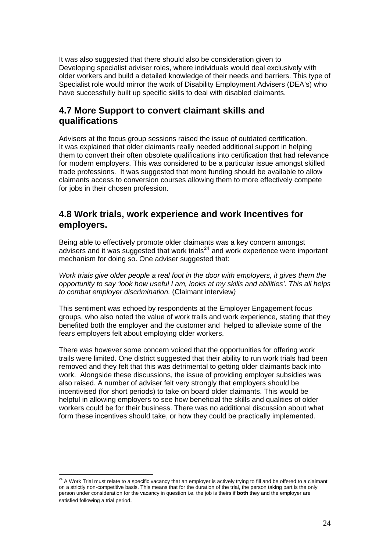It was also suggested that there should also be consideration given to Developing specialist adviser roles, where individuals would deal exclusively with older workers and build a detailed knowledge of their needs and barriers. This type of Specialist role would mirror the work of Disability Employment Advisers (DEA's) who have successfully built up specific skills to deal with disabled claimants.

### **4.7 More Support to convert claimant skills and qualifications**

Advisers at the focus group sessions raised the issue of outdated certification. It was explained that older claimants really needed additional support in helping them to convert their often obsolete qualifications into certification that had relevance for modern employers. This was considered to be a particular issue amongst skilled trade professions. It was suggested that more funding should be available to allow claimants access to conversion courses allowing them to more effectively compete for jobs in their chosen profession.

#### **4.8 Work trials, work experience and work Incentives for employers.**

Being able to effectively promote older claimants was a key concern amongst advisers and it was suggested that work trials<sup>[24](#page-25-0)</sup> and work experience were important mechanism for doing so. One adviser suggested that:

*Work trials give older people a real foot in the door with employers, it gives them the opportunity to say 'look how useful I am, looks at my skills and abilities'. This all helps to combat employer discrimination.* (Claimant interview*)* 

This sentiment was echoed by respondents at the Employer Engagement focus groups, who also noted the value of work trails and work experience, stating that they benefited both the employer and the customer and helped to alleviate some of the fears employers felt about employing older workers.

There was however some concern voiced that the opportunities for offering work trails were limited. One district suggested that their ability to run work trials had been removed and they felt that this was detrimental to getting older claimants back into work. Alongside these discussions, the issue of providing employer subsidies was also raised. A number of adviser felt very strongly that employers should be incentivised (for short periods) to take on board older claimants. This would be helpful in allowing employers to see how beneficial the skills and qualities of older workers could be for their business. There was no additional discussion about what form these incentives should take, or how they could be practically implemented.

<u>.</u>

<span id="page-25-0"></span> $^{24}$  A Work Trial must relate to a specific vacancy that an employer is actively trying to fill and be offered to a claimant on a strictly non-competitive basis. This means that for the duration of the trial, the person taking part is the only person under consideration for the vacancy in question i.e. the job is theirs if **both** they and the employer are satisfied following a trial period.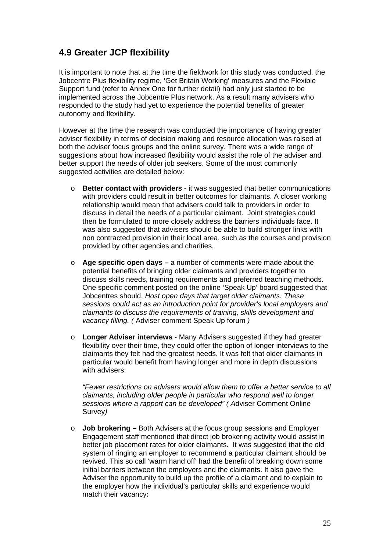## **4.9 Greater JCP flexibility**

It is important to note that at the time the fieldwork for this study was conducted, the Jobcentre Plus flexibility regime, 'Get Britain Working' measures and the Flexible Support fund (refer to Annex One for further detail) had only just started to be implemented across the Jobcentre Plus network. As a result many advisers who responded to the study had yet to experience the potential benefits of greater autonomy and flexibility.

However at the time the research was conducted the importance of having greater adviser flexibility in terms of decision making and resource allocation was raised at both the adviser focus groups and the online survey. There was a wide range of suggestions about how increased flexibility would assist the role of the adviser and better support the needs of older job seekers. Some of the most commonly suggested activities are detailed below:

- o **Better contact with providers** it was suggested that better communications with providers could result in better outcomes for claimants. A closer working relationship would mean that advisers could talk to providers in order to discuss in detail the needs of a particular claimant. Joint strategies could then be formulated to more closely address the barriers individuals face. It was also suggested that advisers should be able to build stronger links with non contracted provision in their local area, such as the courses and provision provided by other agencies and charities,
- o **Age specific open days** a number of comments were made about the potential benefits of bringing older claimants and providers together to discuss skills needs, training requirements and preferred teaching methods. One specific comment posted on the online 'Speak Up' board suggested that Jobcentres should, *Host open days that target older claimants. These sessions could act as an introduction point for provider's local employers and claimants to discuss the requirements of training, skills development and vacancy filling. (* Adviser comment Speak Up forum *)*
- o **Longer Adviser interviews** Many Advisers suggested if they had greater flexibility over their time, they could offer the option of longer interviews to the claimants they felt had the greatest needs. It was felt that older claimants in particular would benefit from having longer and more in depth discussions with advisers:

*"Fewer restrictions on advisers would allow them to offer a better service to all claimants, including older people in particular who respond well to longer sessions where a rapport can be developed" ( A*dviser Comment Online Survey*)* 

o **Job brokering –** Both Advisers at the focus group sessions and Employer Engagement staff mentioned that direct job brokering activity would assist in better job placement rates for older claimants. It was suggested that the old system of ringing an employer to recommend a particular claimant should be revived. This so call 'warm hand off' had the benefit of breaking down some initial barriers between the employers and the claimants. It also gave the Adviser the opportunity to build up the profile of a claimant and to explain to the employer how the individual's particular skills and experience would match their vacancy**:**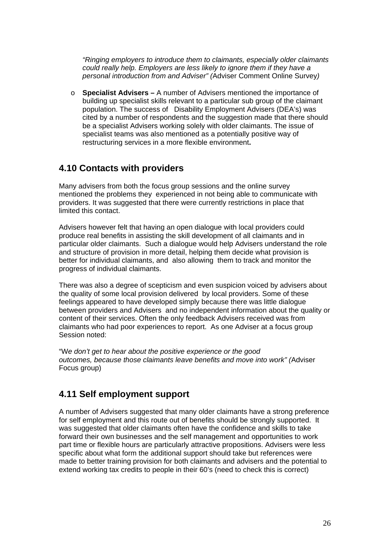*"Ringing employers to introduce them to claimants, especially older claimants could really help. Employers are less likely to ignore them if they have a personal introduction from and Adviser" (*Adviser Comment Online Survey*)* 

o **Specialist Advisers –** A number of Advisers mentioned the importance of building up specialist skills relevant to a particular sub group of the claimant population. The success of Disability Employment Advisers (DEA's) was cited by a number of respondents and the suggestion made that there should be a specialist Advisers working solely with older claimants. The issue of specialist teams was also mentioned as a potentially positive way of restructuring services in a more flexible environment**.** 

#### **4.10 Contacts with providers**

Many advisers from both the focus group sessions and the online survey mentioned the problems they experienced in not being able to communicate with providers. It was suggested that there were currently restrictions in place that limited this contact.

Advisers however felt that having an open dialogue with local providers could produce real benefits in assisting the skill development of all claimants and in particular older claimants. Such a dialogue would help Advisers understand the role and structure of provision in more detail, helping them decide what provision is better for individual claimants, and also allowing them to track and monitor the progress of individual claimants.

There was also a degree of scepticism and even suspicion voiced by advisers about the quality of some local provision delivered by local providers. Some of these feelings appeared to have developed simply because there was little dialogue between providers and Advisers and no independent information about the quality or content of their services. Often the only feedback Advisers received was from claimants who had poor experiences to report. As one Adviser at a focus group Session noted:

"W*e don't get to hear about the positive experience or the good outcomes, because those claimants leave benefits and move into work" (*Adviser Focus group)

#### **4.11 Self employment support**

A number of Advisers suggested that many older claimants have a strong preference for self employment and this route out of benefits should be strongly supported. It was suggested that older claimants often have the confidence and skills to take forward their own businesses and the self management and opportunities to work part time or flexible hours are particularly attractive propositions. Advisers were less specific about what form the additional support should take but references were made to better training provision for both claimants and advisers and the potential to extend working tax credits to people in their 60's (need to check this is correct)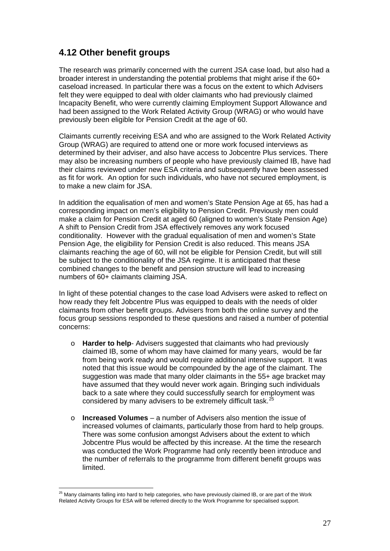## **4.12 Other benefit groups**

The research was primarily concerned with the current JSA case load, but also had a broader interest in understanding the potential problems that might arise if the 60+ caseload increased. In particular there was a focus on the extent to which Advisers felt they were equipped to deal with older claimants who had previously claimed Incapacity Benefit, who were currently claiming Employment Support Allowance and had been assigned to the Work Related Activity Group (WRAG) or who would have previously been eligible for Pension Credit at the age of 60.

Claimants currently receiving ESA and who are assigned to the Work Related Activity Group (WRAG) are required to attend one or more work focused interviews as determined by their adviser, and also have access to Jobcentre Plus services. There may also be increasing numbers of people who have previously claimed IB, have had their claims reviewed under new ESA criteria and subsequently have been assessed as fit for work. An option for such individuals, who have not secured employment, is to make a new claim for JSA.

In addition the equalisation of men and women's State Pension Age at 65, has had a corresponding impact on men's eligibility to Pension Credit. Previously men could make a claim for Pension Credit at aged 60 (aligned to women's State Pension Age) A shift to Pension Credit from JSA effectively removes any work focused conditionality. However with the gradual equalisation of men and women's State Pension Age, the eligibility for Pension Credit is also reduced. This means JSA claimants reaching the age of 60, will not be eligible for Pension Credit, but will still be subject to the conditionality of the JSA regime. It is anticipated that these combined changes to the benefit and pension structure will lead to increasing numbers of 60+ claimants claiming JSA.

In light of these potential changes to the case load Advisers were asked to reflect on how ready they felt Jobcentre Plus was equipped to deals with the needs of older claimants from other benefit groups. Advisers from both the online survey and the focus group sessions responded to these questions and raised a number of potential concerns:

- o **Harder to help** Advisers suggested that claimants who had previously claimed IB, some of whom may have claimed for many years, would be far from being work ready and would require additional intensive support. It was noted that this issue would be compounded by the age of the claimant. The suggestion was made that many older claimants in the 55+ age bracket may have assumed that they would never work again. Bringing such individuals back to a sate where they could successfully search for employment was considered by many advisers to be extremely difficult task.<sup>2</sup>
- o **Increased Volumes** a number of Advisers also mention the issue of increased volumes of claimants, particularly those from hard to help groups. There was some confusion amongst Advisers about the extent to which Jobcentre Plus would be affected by this increase. At the time the research was conducted the Work Programme had only recently been introduce and the number of referrals to the programme from different benefit groups was limited.

1

<span id="page-28-0"></span> $^{25}$  Many claimants falling into hard to help categories, who have previously claimed IB, or are part of the Work Related Activity Groups for ESA will be referred directly to the Work Programme for specialised support.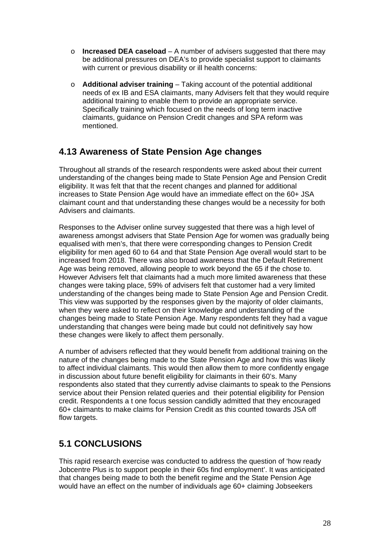- o **Increased DEA caseload** A number of advisers suggested that there may be additional pressures on DEA's to provide specialist support to claimants with current or previous disability or ill health concerns:
- o **Additional adviser training** Taking account of the potential additional needs of ex IB and ESA claimants, many Advisers felt that they would require additional training to enable them to provide an appropriate service. Specifically training which focused on the needs of long term inactive claimants, guidance on Pension Credit changes and SPA reform was mentioned.

### **4.13 Awareness of State Pension Age changes**

Throughout all strands of the research respondents were asked about their current understanding of the changes being made to State Pension Age and Pension Credit eligibility. It was felt that that the recent changes and planned for additional increases to State Pension Age would have an immediate effect on the 60+ JSA claimant count and that understanding these changes would be a necessity for both Advisers and claimants.

Responses to the Adviser online survey suggested that there was a high level of awareness amongst advisers that State Pension Age for women was gradually being equalised with men's, that there were corresponding changes to Pension Credit eligibility for men aged 60 to 64 and that State Pension Age overall would start to be increased from 2018. There was also broad awareness that the Default Retirement Age was being removed, allowing people to work beyond the 65 if the chose to. However Advisers felt that claimants had a much more limited awareness that these changes were taking place, 59% of advisers felt that customer had a very limited understanding of the changes being made to State Pension Age and Pension Credit. This view was supported by the responses given by the majority of older claimants, when they were asked to reflect on their knowledge and understanding of the changes being made to State Pension Age. Many respondents felt they had a vague understanding that changes were being made but could not definitively say how these changes were likely to affect them personally.

A number of advisers reflected that they would benefit from additional training on the nature of the changes being made to the State Pension Age and how this was likely to affect individual claimants. This would then allow them to more confidently engage in discussion about future benefit eligibility for claimants in their 60's. Many respondents also stated that they currently advise claimants to speak to the Pensions service about their Pension related queries and their potential eligibility for Pension credit. Respondents a t one focus session candidly admitted that they encouraged 60+ claimants to make claims for Pension Credit as this counted towards JSA off flow targets.

# **5.1 CONCLUSIONS**

This rapid research exercise was conducted to address the question of 'how ready Jobcentre Plus is to support people in their 60s find employment'. It was anticipated that changes being made to both the benefit regime and the State Pension Age would have an effect on the number of individuals age 60+ claiming Jobseekers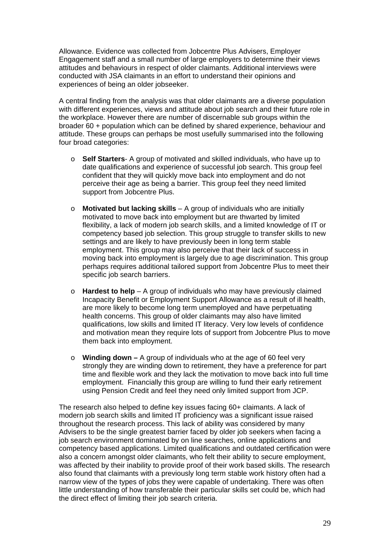Allowance. Evidence was collected from Jobcentre Plus Advisers, Employer Engagement staff and a small number of large employers to determine their views attitudes and behaviours in respect of older claimants. Additional interviews were conducted with JSA claimants in an effort to understand their opinions and experiences of being an older jobseeker.

A central finding from the analysis was that older claimants are a diverse population with different experiences, views and attitude about job search and their future role in the workplace. However there are number of discernable sub groups within the broader 60 + population which can be defined by shared experience, behaviour and attitude. These groups can perhaps be most usefully summarised into the following four broad categories:

- o **Self Starters** A group of motivated and skilled individuals, who have up to date qualifications and experience of successful job search. This group feel confident that they will quickly move back into employment and do not perceive their age as being a barrier. This group feel they need limited support from Jobcentre Plus.
- o **Motivated but lacking skills** A group of individuals who are initially motivated to move back into employment but are thwarted by limited flexibility, a lack of modern job search skills, and a limited knowledge of IT or competency based job selection. This group struggle to transfer skills to new settings and are likely to have previously been in long term stable employment. This group may also perceive that their lack of success in moving back into employment is largely due to age discrimination. This group perhaps requires additional tailored support from Jobcentre Plus to meet their specific job search barriers.
- o **Hardest to help** A group of individuals who may have previously claimed Incapacity Benefit or Employment Support Allowance as a result of ill health, are more likely to become long term unemployed and have perpetuating health concerns. This group of older claimants may also have limited qualifications, low skills and limited IT literacy. Very low levels of confidence and motivation mean they require lots of support from Jobcentre Plus to move them back into employment.
- o **Winding down –** A group of individuals who at the age of 60 feel very strongly they are winding down to retirement, they have a preference for part time and flexible work and they lack the motivation to move back into full time employment. Financially this group are willing to fund their early retirement using Pension Credit and feel they need only limited support from JCP.

The research also helped to define key issues facing 60+ claimants. A lack of modern job search skills and limited IT proficiency was a significant issue raised throughout the research process. This lack of ability was considered by many Advisers to be the single greatest barrier faced by older job seekers when facing a job search environment dominated by on line searches, online applications and competency based applications. Limited qualifications and outdated certification were also a concern amongst older claimants, who felt their ability to secure employment, was affected by their inability to provide proof of their work based skills. The research also found that claimants with a previously long term stable work history often had a narrow view of the types of jobs they were capable of undertaking. There was often little understanding of how transferable their particular skills set could be, which had the direct effect of limiting their job search criteria.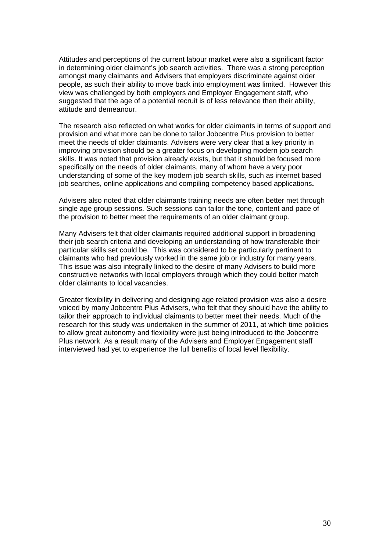Attitudes and perceptions of the current labour market were also a significant factor in determining older claimant's job search activities. There was a strong perception amongst many claimants and Advisers that employers discriminate against older people, as such their ability to move back into employment was limited. However this view was challenged by both employers and Employer Engagement staff, who suggested that the age of a potential recruit is of less relevance then their ability, attitude and demeanour.

The research also reflected on what works for older claimants in terms of support and provision and what more can be done to tailor Jobcentre Plus provision to better meet the needs of older claimants. Advisers were very clear that a key priority in improving provision should be a greater focus on developing modern job search skills. It was noted that provision already exists, but that it should be focused more specifically on the needs of older claimants, many of whom have a very poor understanding of some of the key modern job search skills, such as internet based job searches, online applications and compiling competency based applications**.** 

Advisers also noted that older claimants training needs are often better met through single age group sessions. Such sessions can tailor the tone, content and pace of the provision to better meet the requirements of an older claimant group.

Many Advisers felt that older claimants required additional support in broadening their job search criteria and developing an understanding of how transferable their particular skills set could be. This was considered to be particularly pertinent to claimants who had previously worked in the same job or industry for many years. This issue was also integrally linked to the desire of many Advisers to build more constructive networks with local employers through which they could better match older claimants to local vacancies.

Greater flexibility in delivering and designing age related provision was also a desire voiced by many Jobcentre Plus Advisers, who felt that they should have the ability to tailor their approach to individual claimants to better meet their needs. Much of the research for this study was undertaken in the summer of 2011, at which time policies to allow great autonomy and flexibility were just being introduced to the Jobcentre Plus network. As a result many of the Advisers and Employer Engagement staff interviewed had yet to experience the full benefits of local level flexibility.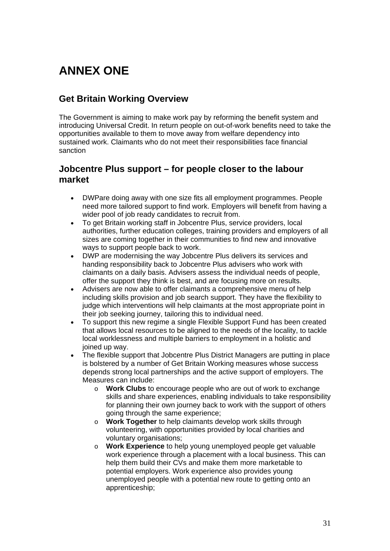# **ANNEX ONE**

## **Get Britain Working Overview**

The Government is aiming to make work pay by reforming the benefit system and introducing Universal Credit. In return people on out-of-work benefits need to take the opportunities available to them to move away from welfare dependency into sustained work. Claimants who do not meet their responsibilities face financial sanction

#### **Jobcentre Plus support – for people closer to the labour market**

- DWPare doing away with one size fits all employment programmes. People need more tailored support to find work. Employers will benefit from having a wider pool of job ready candidates to recruit from.
- To get Britain working staff in Jobcentre Plus, service providers, local authorities, further education colleges, training providers and employers of all sizes are coming together in their communities to find new and innovative ways to support people back to work.
- DWP are modernising the way Jobcentre Plus delivers its services and handing responsibility back to Jobcentre Plus advisers who work with claimants on a daily basis. Advisers assess the individual needs of people, offer the support they think is best, and are focusing more on results.
- Advisers are now able to offer claimants a comprehensive menu of help including skills provision and job search support. They have the flexibility to judge which interventions will help claimants at the most appropriate point in their job seeking journey, tailoring this to individual need.
- To support this new regime a single Flexible Support Fund has been created that allows local resources to be aligned to the needs of the locality, to tackle local worklessness and multiple barriers to employment in a holistic and joined up way.
- The flexible support that Jobcentre Plus District Managers are putting in place is bolstered by a number of Get Britain Working measures whose success depends strong local partnerships and the active support of employers. The Measures can include:
	- o **Work Clubs** to encourage people who are out of work to exchange skills and share experiences, enabling individuals to take responsibility for planning their own journey back to work with the support of others going through the same experience;
	- o **Work Together** to help claimants develop work skills through volunteering, with opportunities provided by local charities and voluntary organisations;
	- o **Work Experience** to help young unemployed people get valuable work experience through a placement with a local business. This can help them build their CVs and make them more marketable to potential employers. Work experience also provides young unemployed people with a potential new route to getting onto an apprenticeship;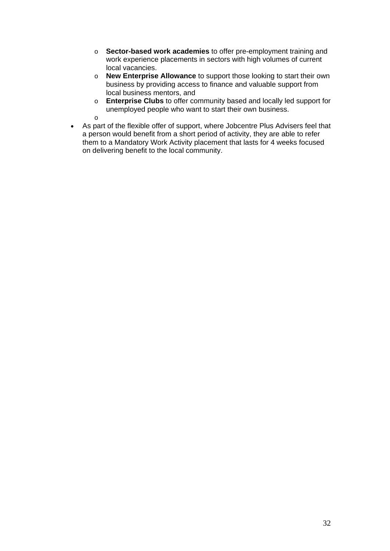- o **Sector-based work academies** to offer pre-employment training and work experience placements in sectors with high volumes of current local vacancies.
- o **New Enterprise Allowance** to support those looking to start their own business by providing access to finance and valuable support from local business mentors, and
- o **Enterprise Clubs** to offer community based and locally led support for unemployed people who want to start their own business. o
- As part of the flexible offer of support, where Jobcentre Plus Advisers feel that a person would benefit from a short period of activity, they are able to refer them to a Mandatory Work Activity placement that lasts for 4 weeks focused on delivering benefit to the local community.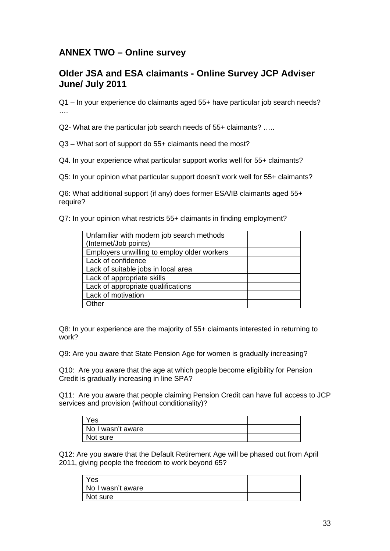## **ANNEX TWO – Online survey**

### **Older JSA and ESA claimants - Online Survey JCP Adviser June/ July 2011**

Q1 – In your experience do claimants aged 55+ have particular job search needs? ….

Q2- What are the particular job search needs of 55+ claimants? …..

Q3 – What sort of support do 55+ claimants need the most?

Q4. In your experience what particular support works well for 55+ claimants?

Q5: In your opinion what particular support doesn't work well for 55+ claimants?

Q6: What additional support (if any) does former ESA/IB claimants aged 55+ require?

Q7: In your opinion what restricts 55+ claimants in finding employment?

| Unfamiliar with modern job search methods   |  |
|---------------------------------------------|--|
| (Internet/Job points)                       |  |
| Employers unwilling to employ older workers |  |
| Lack of confidence                          |  |
| Lack of suitable jobs in local area         |  |
| Lack of appropriate skills                  |  |
| Lack of appropriate qualifications          |  |
| Lack of motivation                          |  |
| .Cher                                       |  |

Q8: In your experience are the majority of 55+ claimants interested in returning to work?

Q9: Are you aware that State Pension Age for women is gradually increasing?

Q10: Are you aware that the age at which people become eligibility for Pension Credit is gradually increasing in line SPA?

Q11: Are you aware that people claiming Pension Credit can have full access to JCP services and provision (without conditionality)?

| Yes               |  |
|-------------------|--|
| No I wasn't aware |  |
| Not sure          |  |

Q12: Are you aware that the Default Retirement Age will be phased out from April 2011, giving people the freedom to work beyond 65?

| Yes               |  |
|-------------------|--|
| No I wasn't aware |  |
| Not sure          |  |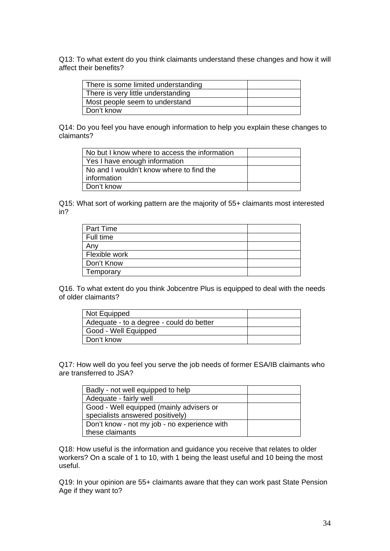Q13: To what extent do you think claimants understand these changes and how it will affect their benefits?

| There is some limited understanding |  |
|-------------------------------------|--|
| There is very little understanding  |  |
| Most people seem to understand      |  |
| Don't know                          |  |

Q14: Do you feel you have enough information to help you explain these changes to claimants?

| No but I know where to access the information |  |
|-----------------------------------------------|--|
| Yes I have enough information                 |  |
| No and I wouldn't know where to find the      |  |
| information                                   |  |
| Don't know                                    |  |

Q15: What sort of working pattern are the majority of 55+ claimants most interested in?

| Part Time     |  |
|---------------|--|
| Full time     |  |
| Any           |  |
| Flexible work |  |
| Don't Know    |  |
| Temporary     |  |
|               |  |

Q16. To what extent do you think Jobcentre Plus is equipped to deal with the needs of older claimants?

| Not Equipped                             |  |
|------------------------------------------|--|
| Adequate - to a degree - could do better |  |
| Good - Well Equipped                     |  |
| Don't know                               |  |

Q17: How well do you feel you serve the job needs of former ESA/IB claimants who are transferred to JSA?

| Badly - not well equipped to help            |  |
|----------------------------------------------|--|
| Adequate - fairly well                       |  |
| Good - Well equipped (mainly advisers or     |  |
| specialists answered positively)             |  |
| Don't know - not my job - no experience with |  |
| these claimants                              |  |

Q18: How useful is the information and guidance you receive that relates to older workers? On a scale of 1 to 10, with 1 being the least useful and 10 being the most useful.

Q19: In your opinion are 55+ claimants aware that they can work past State Pension Age if they want to?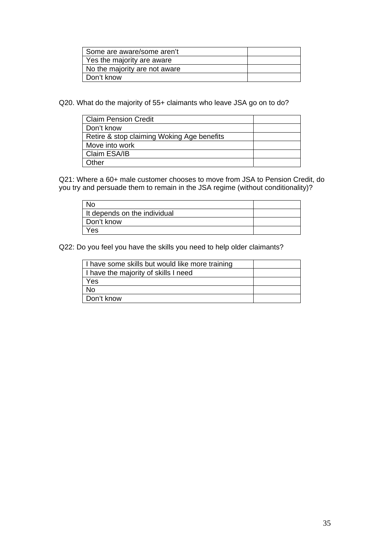| Some are aware/some aren't    |  |
|-------------------------------|--|
| Yes the majority are aware    |  |
| No the majority are not aware |  |
| Don't know                    |  |

Q20. What do the majority of 55+ claimants who leave JSA go on to do?

| <b>Claim Pension Credit</b>                |  |
|--------------------------------------------|--|
| Don't know                                 |  |
| Retire & stop claiming Woking Age benefits |  |
| Move into work                             |  |
| Claim ESA/IB                               |  |
| Other                                      |  |

Q21: Where a 60+ male customer chooses to move from JSA to Pension Credit, do you try and persuade them to remain in the JSA regime (without conditionality)?

| No                           |  |
|------------------------------|--|
| It depends on the individual |  |
| Don't know                   |  |
| Yes                          |  |

Q22: Do you feel you have the skills you need to help older claimants?

| I have some skills but would like more training |  |
|-------------------------------------------------|--|
| I have the majority of skills I need            |  |
| Yes                                             |  |
| No                                              |  |
| Don't know                                      |  |